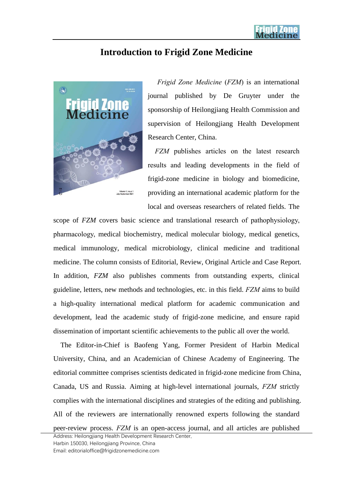## **Introduction to Frigid Zone Medicine**



*Frigid Zone Medicine* (*FZM*) is an international journal published by De Gruyter under the sponsorship of Heilongjiang Health Commission and supervision of Heilongjiang Health Development Research Center, China.

*FZM* publishes articles on the latest research results and leading developments in the field of frigid-zone medicine in biology and biomedicine, providing an international academic platform for the local and overseas researchers of related fields. The

scope of *FZM* covers basic science and translational research of pathophysiology, pharmacology, medical biochemistry, medical molecular biology, medical genetics, medical immunology, medical microbiology, clinical medicine and traditional medicine. The column consists of Editorial, Review, Original Article and Case Report. In addition, *FZM* also publishes comments from outstanding experts, clinical guideline, letters, new methods and technologies, etc. in this field. *FZM* aims to build a high-quality international medical platform for academic communication and development, lead the academic study of frigid-zone medicine, and ensure rapid dissemination of important scientific achievements to the public all over the world.

The Editor-in-Chief is Baofeng Yang, Former President of Harbin Medical University, China, and an Academician of Chinese Academy of Engineering. The editorial committee comprises scientists dedicated in frigid-zone medicine from China, Canada, US and Russia. Aiming at high-level international journals, *FZM* strictly complies with the international disciplines and strategies of the editing and publishing. All of the reviewers are internationally renowned experts following the standard

peer-review process. *FZM* is an open-access journal, and all articles are published